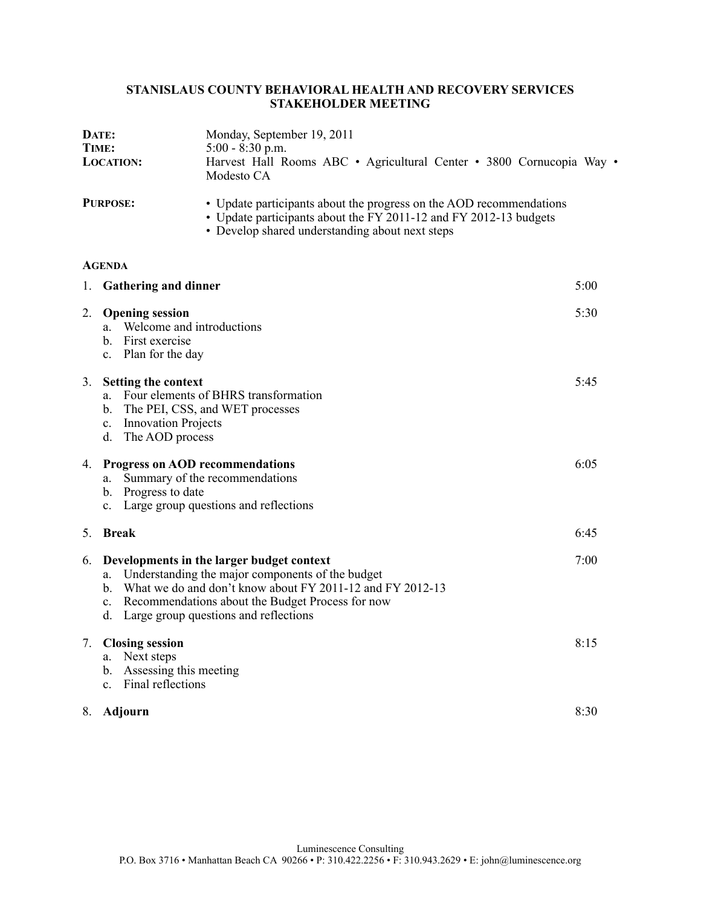## **STANISLAUS COUNTY BEHAVIORAL HEALTH AND RECOVERY SERVICES STAKEHOLDER MEETING**

| DATE:<br>TIME:<br><b>LOCATION:</b><br><b>PURPOSE:</b> |                                                                                                               | Monday, September 19, 2011<br>$5:00 - 8:30$ p.m.<br>Harvest Hall Rooms ABC · Agricultural Center · 3800 Cornucopia Way ·<br>Modesto CA                                                                                                                  |      |  |  |  |  |
|-------------------------------------------------------|---------------------------------------------------------------------------------------------------------------|---------------------------------------------------------------------------------------------------------------------------------------------------------------------------------------------------------------------------------------------------------|------|--|--|--|--|
|                                                       |                                                                                                               | • Update participants about the progress on the AOD recommendations<br>• Update participants about the FY 2011-12 and FY 2012-13 budgets<br>• Develop shared understanding about next steps                                                             |      |  |  |  |  |
|                                                       | <b>AGENDA</b>                                                                                                 |                                                                                                                                                                                                                                                         |      |  |  |  |  |
| 1.                                                    | <b>Gathering and dinner</b>                                                                                   |                                                                                                                                                                                                                                                         | 5:00 |  |  |  |  |
| 2.                                                    | <b>Opening session</b><br>5:30<br>Welcome and introductions<br>a.<br>b. First exercise<br>c. Plan for the day |                                                                                                                                                                                                                                                         |      |  |  |  |  |
| 3.                                                    | <b>Setting the context</b><br>a.<br>$\mathbf{b}$ .<br>$c_{\cdot}$<br>d.                                       | 5:45<br>Four elements of BHRS transformation<br>The PEI, CSS, and WET processes<br><b>Innovation Projects</b><br>The AOD process                                                                                                                        |      |  |  |  |  |
| 4.                                                    | <b>Progress on AOD recommendations</b><br>a.<br>Progress to date<br>$b_{-}$<br>$\mathbf{c}$ .                 | Summary of the recommendations<br>Large group questions and reflections                                                                                                                                                                                 | 6:05 |  |  |  |  |
| 5.                                                    | Break                                                                                                         |                                                                                                                                                                                                                                                         | 6:45 |  |  |  |  |
| 6.                                                    | a.<br>$b_{-}$<br>$c_{\cdot}$<br>d.                                                                            | Developments in the larger budget context<br>Understanding the major components of the budget<br>What we do and don't know about FY 2011-12 and FY 2012-13<br>Recommendations about the Budget Process for now<br>Large group questions and reflections | 7:00 |  |  |  |  |
| 7.                                                    | <b>Closing session</b><br>a. Next steps<br>Assessing this meeting<br>$b_{-}$<br>Final reflections<br>$c_{-}$  |                                                                                                                                                                                                                                                         | 8:15 |  |  |  |  |
|                                                       | 8. Adjourn                                                                                                    |                                                                                                                                                                                                                                                         | 8:30 |  |  |  |  |